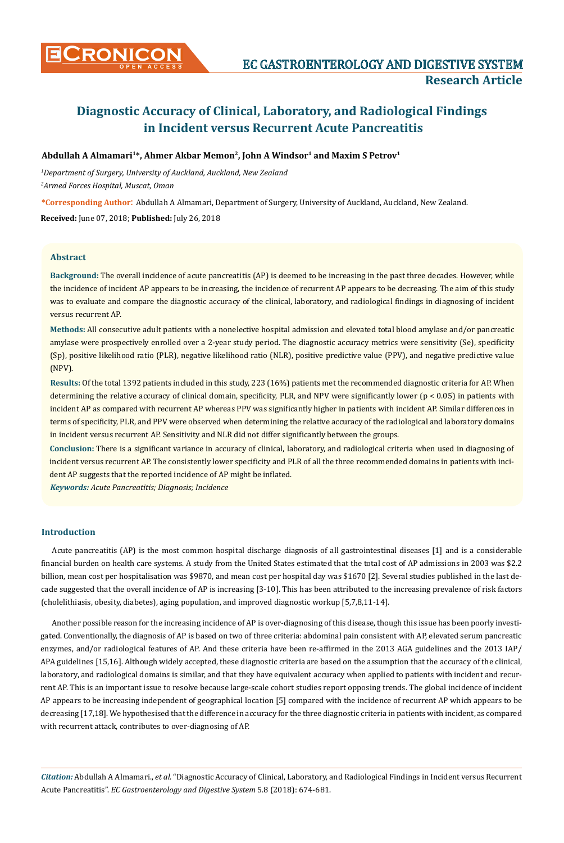# **Diagnostic Accuracy of Clinical, Laboratory, and Radiological Findings in Incident versus Recurrent Acute Pancreatitis**

# **Abdullah A Almamari1\*, Ahmer Akbar Memon2, John A Windsor1 and Maxim S Petrov1**

*1 Department of Surgery, University of Auckland, Auckland, New Zealand*

*2 Armed Forces Hospital, Muscat, Oman*

**\*Corresponding Author**: Abdullah A Almamari, Department of Surgery, University of Auckland, Auckland, New Zealand.

**Received:** June 07, 2018; **Published:** July 26, 2018

# **Abstract**

**Background:** The overall incidence of acute pancreatitis (AP) is deemed to be increasing in the past three decades. However, while the incidence of incident AP appears to be increasing, the incidence of recurrent AP appears to be decreasing. The aim of this study was to evaluate and compare the diagnostic accuracy of the clinical, laboratory, and radiological findings in diagnosing of incident versus recurrent AP.

**Methods:** All consecutive adult patients with a nonelective hospital admission and elevated total blood amylase and/or pancreatic amylase were prospectively enrolled over a 2-year study period. The diagnostic accuracy metrics were sensitivity (Se), specificity (Sp), positive likelihood ratio (PLR), negative likelihood ratio (NLR), positive predictive value (PPV), and negative predictive value (NPV).

**Results:** Of the total 1392 patients included in this study, 223 (16%) patients met the recommended diagnostic criteria for AP. When determining the relative accuracy of clinical domain, specificity, PLR, and NPV were significantly lower (p < 0.05) in patients with incident AP as compared with recurrent AP whereas PPV was significantly higher in patients with incident AP. Similar differences in terms of specificity, PLR, and PPV were observed when determining the relative accuracy of the radiological and laboratory domains in incident versus recurrent AP. Sensitivity and NLR did not differ significantly between the groups.

**Conclusion:** There is a significant variance in accuracy of clinical, laboratory, and radiological criteria when used in diagnosing of incident versus recurrent AP. The consistently lower specificity and PLR of all the three recommended domains in patients with incident AP suggests that the reported incidence of AP might be inflated.

*Keywords: Acute Pancreatitis; Diagnosis; Incidence*

# **Introduction**

Acute pancreatitis (AP) is the most common hospital discharge diagnosis of all gastrointestinal diseases [1] and is a considerable financial burden on health care systems. A study from the United States estimated that the total cost of AP admissions in 2003 was \$2.2 billion, mean cost per hospitalisation was \$9870, and mean cost per hospital day was \$1670 [2]. Several studies published in the last decade suggested that the overall incidence of AP is increasing [3-10]. This has been attributed to the increasing prevalence of risk factors (cholelithiasis, obesity, diabetes), aging population, and improved diagnostic workup [5,7,8,11-14].

Another possible reason for the increasing incidence of AP is over-diagnosing of this disease, though this issue has been poorly investigated. Conventionally, the diagnosis of AP is based on two of three criteria: abdominal pain consistent with AP, elevated serum pancreatic enzymes, and/or radiological features of AP. And these criteria have been re-affirmed in the 2013 AGA guidelines and the 2013 IAP/ APA guidelines [15,16]. Although widely accepted, these diagnostic criteria are based on the assumption that the accuracy of the clinical, laboratory, and radiological domains is similar, and that they have equivalent accuracy when applied to patients with incident and recurrent AP. This is an important issue to resolve because large-scale cohort studies report opposing trends. The global incidence of incident AP appears to be increasing independent of geographical location [5] compared with the incidence of recurrent AP which appears to be decreasing [17,18]. We hypothesised that the difference in accuracy for the three diagnostic criteria in patients with incident, as compared with recurrent attack, contributes to over-diagnosing of AP.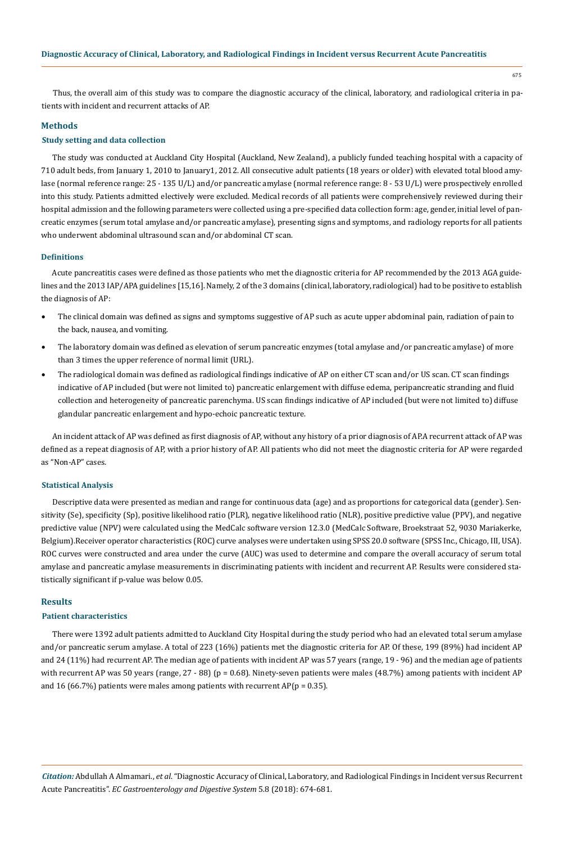Thus, the overall aim of this study was to compare the diagnostic accuracy of the clinical, laboratory, and radiological criteria in patients with incident and recurrent attacks of AP.

#### **Methods**

# **Study setting and data collection**

The study was conducted at Auckland City Hospital (Auckland, New Zealand), a publicly funded teaching hospital with a capacity of 710 adult beds, from January 1, 2010 to January1, 2012. All consecutive adult patients (18 years or older) with elevated total blood amylase (normal reference range: 25 - 135 U/L) and/or pancreatic amylase (normal reference range: 8 - 53 U/L) were prospectively enrolled into this study. Patients admitted electively were excluded. Medical records of all patients were comprehensively reviewed during their hospital admission and the following parameters were collected using a pre-specified data collection form: age, gender, initial level of pancreatic enzymes (serum total amylase and/or pancreatic amylase), presenting signs and symptoms, and radiology reports for all patients who underwent abdominal ultrasound scan and/or abdominal CT scan.

# **Definitions**

Acute pancreatitis cases were defined as those patients who met the diagnostic criteria for AP recommended by the 2013 AGA guidelines and the 2013 IAP/APA guidelines [15,16]. Namely, 2 of the 3 domains (clinical, laboratory, radiological) had to be positive to establish the diagnosis of AP:

- The clinical domain was defined as signs and symptoms suggestive of AP such as acute upper abdominal pain, radiation of pain to the back, nausea, and vomiting.
- The laboratory domain was defined as elevation of serum pancreatic enzymes (total amylase and/or pancreatic amylase) of more than 3 times the upper reference of normal limit (URL).
- The radiological domain was defined as radiological findings indicative of AP on either CT scan and/or US scan. CT scan findings indicative of AP included (but were not limited to) pancreatic enlargement with diffuse edema, peripancreatic stranding and fluid collection and heterogeneity of pancreatic parenchyma. US scan findings indicative of AP included (but were not limited to) diffuse glandular pancreatic enlargement and hypo-echoic pancreatic texture.

An incident attack of AP was defined as first diagnosis of AP, without any history of a prior diagnosis of AP.A recurrent attack of AP was defined as a repeat diagnosis of AP, with a prior history of AP. All patients who did not meet the diagnostic criteria for AP were regarded as "Non-AP" cases.

#### **Statistical Analysis**

Descriptive data were presented as median and range for continuous data (age) and as proportions for categorical data (gender). Sensitivity (Se), specificity (Sp), positive likelihood ratio (PLR), negative likelihood ratio (NLR), positive predictive value (PPV), and negative predictive value (NPV) were calculated using the MedCalc software version 12.3.0 (MedCalc Software, Broekstraat 52, 9030 Mariakerke, Belgium).Receiver operator characteristics (ROC) curve analyses were undertaken using SPSS 20.0 software (SPSS Inc., Chicago, III, USA). ROC curves were constructed and area under the curve (AUC) was used to determine and compare the overall accuracy of serum total amylase and pancreatic amylase measurements in discriminating patients with incident and recurrent AP. Results were considered statistically significant if p-value was below 0.05.

# **Results**

#### **Patient characteristics**

There were 1392 adult patients admitted to Auckland City Hospital during the study period who had an elevated total serum amylase and/or pancreatic serum amylase. A total of 223 (16%) patients met the diagnostic criteria for AP. Of these, 199 (89%) had incident AP and 24 (11%) had recurrent AP. The median age of patients with incident AP was 57 years (range, 19 - 96) and the median age of patients with recurrent AP was 50 years (range, 27 - 88) (p = 0.68). Ninety-seven patients were males (48.7%) among patients with incident AP and 16 (66.7%) patients were males among patients with recurrent  $AP(p = 0.35)$ .

*Citation:* Abdullah A Almamari., *et al*. "Diagnostic Accuracy of Clinical, Laboratory, and Radiological Findings in Incident versus Recurrent Acute Pancreatitis". *EC Gastroenterology and Digestive System* 5.8 (2018): 674-681.

675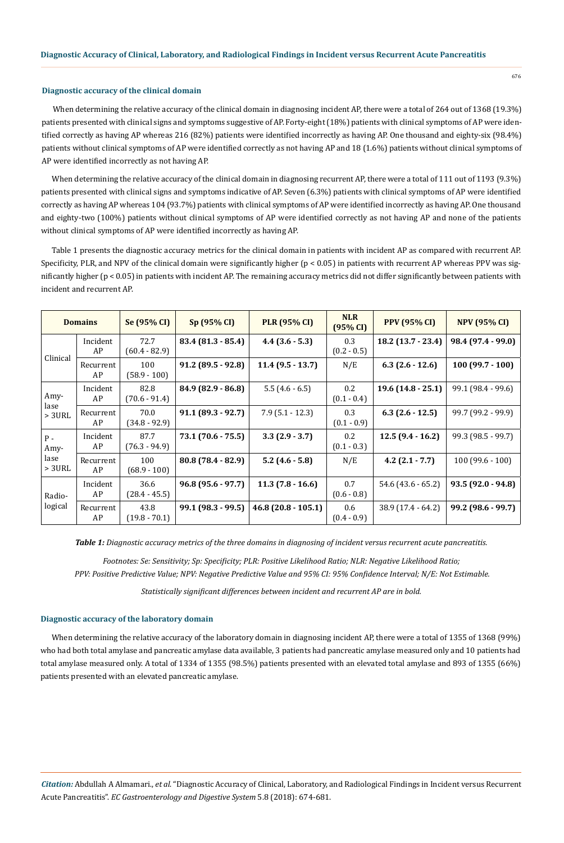#### **Diagnostic accuracy of the clinical domain**

When determining the relative accuracy of the clinical domain in diagnosing incident AP, there were a total of 264 out of 1368 (19.3%) patients presented with clinical signs and symptoms suggestive of AP. Forty-eight (18%) patients with clinical symptoms of AP were identified correctly as having AP whereas 216 (82%) patients were identified incorrectly as having AP. One thousand and eighty-six (98.4%) patients without clinical symptoms of AP were identified correctly as not having AP and 18 (1.6%) patients without clinical symptoms of AP were identified incorrectly as not having AP.

When determining the relative accuracy of the clinical domain in diagnosing recurrent AP, there were a total of 111 out of 1193 (9.3%) patients presented with clinical signs and symptoms indicative of AP. Seven (6.3%) patients with clinical symptoms of AP were identified correctly as having AP whereas 104 (93.7%) patients with clinical symptoms of AP were identified incorrectly as having AP. One thousand and eighty-two (100%) patients without clinical symptoms of AP were identified correctly as not having AP and none of the patients without clinical symptoms of AP were identified incorrectly as having AP.

Table 1 presents the diagnostic accuracy metrics for the clinical domain in patients with incident AP as compared with recurrent AP. Specificity, PLR, and NPV of the clinical domain were significantly higher (p < 0.05) in patients with recurrent AP whereas PPV was significantly higher (p < 0.05) in patients with incident AP. The remaining accuracy metrics did not differ significantly between patients with incident and recurrent AP.

| <b>Domains</b>                     |                 | Se (95% CI)             | Sp (95% CI)          | <b>PLR (95% CI)</b> | <b>NLR</b><br>(95% CI)   | <b>PPV</b> (95% CI)  | <b>NPV (95% CI)</b> |
|------------------------------------|-----------------|-------------------------|----------------------|---------------------|--------------------------|----------------------|---------------------|
| Clinical                           | Incident<br>AP  | 72.7<br>$(60.4 - 82.9)$ | $83.4(81.3-85.4)$    | $4.4(3.6-5.3)$      | 0.3<br>$(0.2 - 0.5)$     | $18.2$ (13.7 - 23.4) | 98.4 (97.4 - 99.0)  |
|                                    | Recurrent<br>AP | 100<br>$(58.9 - 100)$   | $91.2 (89.5 - 92.8)$ | $11.4(9.5 - 13.7)$  | N/E                      | $6.3(2.6-12.6)$      | $100(99.7 - 100)$   |
| Amy-<br>lase<br>$> 3$ URL          | Incident<br>AP  | 82.8<br>$(70.6 - 91.4)$ | 84.9 (82.9 - 86.8)   | $5.5(4.6-6.5)$      | $0.2\,$<br>$(0.1 - 0.4)$ | $19.6(14.8-25.1)$    | 99.1 (98.4 - 99.6)  |
|                                    | Recurrent<br>AP | 70.0<br>$(34.8 - 92.9)$ | $91.1(89.3-92.7)$    | $7.9(5.1 - 12.3)$   | 0.3<br>$(0.1 - 0.9)$     | $6.3$ (2.6 - 12.5)   | 99.7 (99.2 - 99.9)  |
| $P -$<br>Amy-<br>lase<br>$> 3$ URL | Incident<br>AP  | 87.7<br>$(76.3 - 94.9)$ | 73.1 (70.6 - 75.5)   | $3.3(2.9 - 3.7)$    | 0.2<br>$(0.1 - 0.3)$     | $12.5(9.4-16.2)$     | 99.3 (98.5 - 99.7)  |
|                                    | Recurrent<br>AP | 100<br>$(68.9 - 100)$   | $80.8(78.4-82.9)$    | $5.2$ (4.6 - 5.8)   | N/E                      | $4.2(2.1 - 7.7)$     | $100(99.6 - 100)$   |
| Radio-<br>logical                  | Incident<br>AP  | 36.6<br>$(28.4 - 45.5)$ | $96.8(95.6-97.7)$    | $11.3(7.8-16.6)$    | 0.7<br>$(0.6 - 0.8)$     | $54.6$ (43.6 - 65.2) | $93.5(92.0 - 94.8)$ |
|                                    | Recurrent<br>AP | 43.8<br>$(19.8 - 70.1)$ | 99.1 (98.3 - 99.5)   | $46.8(20.8-105.1)$  | 0.6<br>$(0.4 - 0.9)$     | 38.9 (17.4 - 64.2)   | 99.2 (98.6 - 99.7)  |

*Table 1: Diagnostic accuracy metrics of the three domains in diagnosing of incident versus recurrent acute pancreatitis.*

*Footnotes: Se: Sensitivity; Sp: Specificity; PLR: Positive Likelihood Ratio; NLR: Negative Likelihood Ratio; PPV: Positive Predictive Value; NPV: Negative Predictive Value and 95% CI: 95% Confidence Interval; N/E: Not Estimable.*

*Statistically significant differences between incident and recurrent AP are in bold.*

#### **Diagnostic accuracy of the laboratory domain**

When determining the relative accuracy of the laboratory domain in diagnosing incident AP, there were a total of 1355 of 1368 (99%) who had both total amylase and pancreatic amylase data available, 3 patients had pancreatic amylase measured only and 10 patients had total amylase measured only. A total of 1334 of 1355 (98.5%) patients presented with an elevated total amylase and 893 of 1355 (66%) patients presented with an elevated pancreatic amylase.

*Citation:* Abdullah A Almamari., *et al*. "Diagnostic Accuracy of Clinical, Laboratory, and Radiological Findings in Incident versus Recurrent Acute Pancreatitis". *EC Gastroenterology and Digestive System* 5.8 (2018): 674-681.

676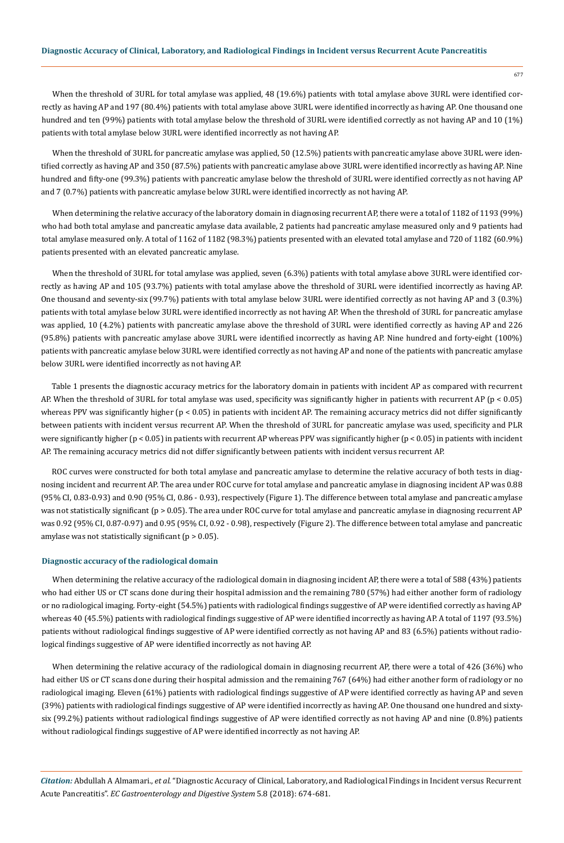677

When the threshold of 3URL for total amylase was applied, 48 (19.6%) patients with total amylase above 3URL were identified correctly as having AP and 197 (80.4%) patients with total amylase above 3URL were identified incorrectly as having AP. One thousand one hundred and ten (99%) patients with total amylase below the threshold of 3URL were identified correctly as not having AP and 10 (1%) patients with total amylase below 3URL were identified incorrectly as not having AP.

When the threshold of 3URL for pancreatic amylase was applied, 50 (12.5%) patients with pancreatic amylase above 3URL were identified correctly as having AP and 350 (87.5%) patients with pancreatic amylase above 3URL were identified incorrectly as having AP. Nine hundred and fifty-one (99.3%) patients with pancreatic amylase below the threshold of 3URL were identified correctly as not having AP and 7 (0.7%) patients with pancreatic amylase below 3URL were identified incorrectly as not having AP.

When determining the relative accuracy of the laboratory domain in diagnosing recurrent AP, there were a total of 1182 of 1193 (99%) who had both total amylase and pancreatic amylase data available, 2 patients had pancreatic amylase measured only and 9 patients had total amylase measured only. A total of 1162 of 1182 (98.3%) patients presented with an elevated total amylase and 720 of 1182 (60.9%) patients presented with an elevated pancreatic amylase.

When the threshold of 3URL for total amylase was applied, seven (6.3%) patients with total amylase above 3URL were identified correctly as having AP and 105 (93.7%) patients with total amylase above the threshold of 3URL were identified incorrectly as having AP. One thousand and seventy-six (99.7%) patients with total amylase below 3URL were identified correctly as not having AP and 3 (0.3%) patients with total amylase below 3URL were identified incorrectly as not having AP. When the threshold of 3URL for pancreatic amylase was applied, 10 (4.2%) patients with pancreatic amylase above the threshold of 3URL were identified correctly as having AP and 226 (95.8%) patients with pancreatic amylase above 3URL were identified incorrectly as having AP. Nine hundred and forty-eight (100%) patients with pancreatic amylase below 3URL were identified correctly as not having AP and none of the patients with pancreatic amylase below 3URL were identified incorrectly as not having AP.

Table 1 presents the diagnostic accuracy metrics for the laboratory domain in patients with incident AP as compared with recurrent AP. When the threshold of 3URL for total amylase was used, specificity was significantly higher in patients with recurrent AP ( $p < 0.05$ ) whereas PPV was significantly higher (p < 0.05) in patients with incident AP. The remaining accuracy metrics did not differ significantly between patients with incident versus recurrent AP. When the threshold of 3URL for pancreatic amylase was used, specificity and PLR were significantly higher (p < 0.05) in patients with recurrent AP whereas PPV was significantly higher (p < 0.05) in patients with incident AP. The remaining accuracy metrics did not differ significantly between patients with incident versus recurrent AP.

ROC curves were constructed for both total amylase and pancreatic amylase to determine the relative accuracy of both tests in diagnosing incident and recurrent AP. The area under ROC curve for total amylase and pancreatic amylase in diagnosing incident AP was 0.88 (95% CI, 0.83-0.93) and 0.90 (95% CI, 0.86 - 0.93), respectively (Figure 1). The difference between total amylase and pancreatic amylase was not statistically significant (p > 0.05). The area under ROC curve for total amylase and pancreatic amylase in diagnosing recurrent AP was 0.92 (95% CI, 0.87-0.97) and 0.95 (95% CI, 0.92 - 0.98), respectively (Figure 2). The difference between total amylase and pancreatic amylase was not statistically significant  $(p > 0.05)$ .

#### **Diagnostic accuracy of the radiological domain**

When determining the relative accuracy of the radiological domain in diagnosing incident AP, there were a total of 588 (43%) patients who had either US or CT scans done during their hospital admission and the remaining 780 (57%) had either another form of radiology or no radiological imaging. Forty-eight (54.5%) patients with radiological findings suggestive of AP were identified correctly as having AP whereas 40 (45.5%) patients with radiological findings suggestive of AP were identified incorrectly as having AP. A total of 1197 (93.5%) patients without radiological findings suggestive of AP were identified correctly as not having AP and 83 (6.5%) patients without radiological findings suggestive of AP were identified incorrectly as not having AP.

When determining the relative accuracy of the radiological domain in diagnosing recurrent AP, there were a total of 426 (36%) who had either US or CT scans done during their hospital admission and the remaining 767 (64%) had either another form of radiology or no radiological imaging. Eleven (61%) patients with radiological findings suggestive of AP were identified correctly as having AP and seven (39%) patients with radiological findings suggestive of AP were identified incorrectly as having AP. One thousand one hundred and sixtysix (99.2%) patients without radiological findings suggestive of AP were identified correctly as not having AP and nine (0.8%) patients without radiological findings suggestive of AP were identified incorrectly as not having AP.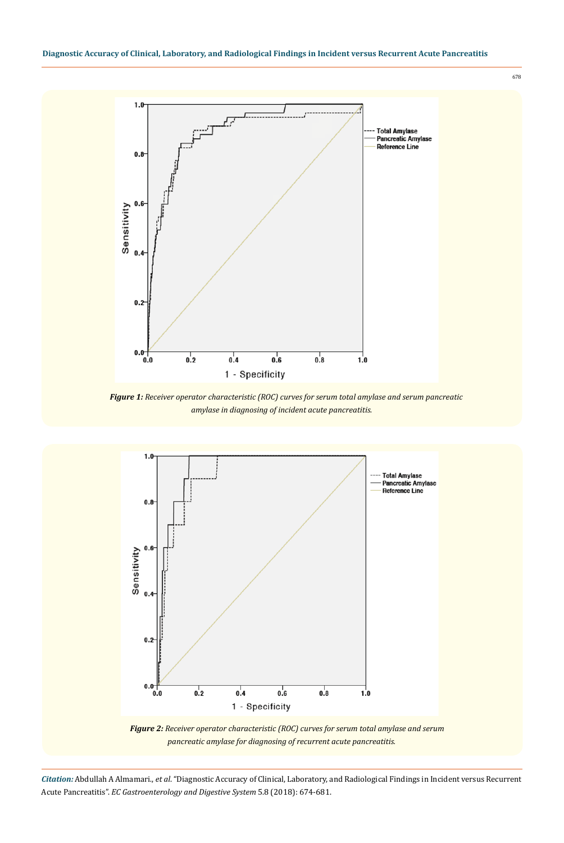678



*Figure 1: Receiver operator characteristic (ROC) curves for serum total amylase and serum pancreatic amylase in diagnosing of incident acute pancreatitis.*



*Figure 2: Receiver operator characteristic (ROC) curves for serum total amylase and serum pancreatic amylase for diagnosing of recurrent acute pancreatitis.*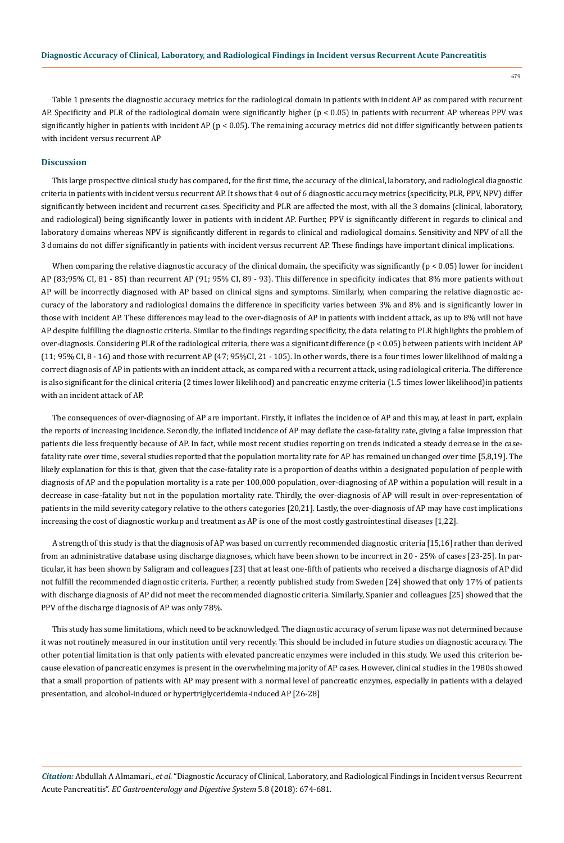679

Table 1 presents the diagnostic accuracy metrics for the radiological domain in patients with incident AP as compared with recurrent AP. Specificity and PLR of the radiological domain were significantly higher (p < 0.05) in patients with recurrent AP whereas PPV was significantly higher in patients with incident AP ( $p < 0.05$ ). The remaining accuracy metrics did not differ significantly between patients with incident versus recurrent AP

## **Discussion**

This large prospective clinical study has compared, for the first time, the accuracy of the clinical, laboratory, and radiological diagnostic criteria in patients with incident versus recurrent AP. It shows that 4 out of 6 diagnostic accuracy metrics (specificity, PLR, PPV, NPV) differ significantly between incident and recurrent cases. Specificity and PLR are affected the most, with all the 3 domains (clinical, laboratory, and radiological) being significantly lower in patients with incident AP. Further, PPV is significantly different in regards to clinical and laboratory domains whereas NPV is significantly different in regards to clinical and radiological domains. Sensitivity and NPV of all the 3 domains do not differ significantly in patients with incident versus recurrent AP. These findings have important clinical implications.

When comparing the relative diagnostic accuracy of the clinical domain, the specificity was significantly  $(p < 0.05)$  lower for incident AP (83;95% CI, 81 - 85) than recurrent AP (91; 95% CI, 89 - 93). This difference in specificity indicates that 8% more patients without AP will be incorrectly diagnosed with AP based on clinical signs and symptoms. Similarly, when comparing the relative diagnostic accuracy of the laboratory and radiological domains the difference in specificity varies between 3% and 8% and is significantly lower in those with incident AP. These differences may lead to the over-diagnosis of AP in patients with incident attack, as up to 8% will not have AP despite fulfilling the diagnostic criteria. Similar to the findings regarding specificity, the data relating to PLR highlights the problem of over-diagnosis. Considering PLR of the radiological criteria, there was a significant difference (p < 0.05) between patients with incident AP  $(11; 95\%$  CI, 8 - 16) and those with recurrent AP  $(47; 95\%$ CI, 21 - 105). In other words, there is a four times lower likelihood of making a correct diagnosis of AP in patients with an incident attack, as compared with a recurrent attack, using radiological criteria. The difference is also significant for the clinical criteria (2 times lower likelihood) and pancreatic enzyme criteria (1.5 times lower likelihood)in patients with an incident attack of AP.

The consequences of over-diagnosing of AP are important. Firstly, it inflates the incidence of AP and this may, at least in part, explain the reports of increasing incidence. Secondly, the inflated incidence of AP may deflate the case-fatality rate, giving a false impression that patients die less frequently because of AP. In fact, while most recent studies reporting on trends indicated a steady decrease in the casefatality rate over time, several studies reported that the population mortality rate for AP has remained unchanged over time [5,8,19]. The likely explanation for this is that, given that the case-fatality rate is a proportion of deaths within a designated population of people with diagnosis of AP and the population mortality is a rate per 100,000 population, over-diagnosing of AP within a population will result in a decrease in case-fatality but not in the population mortality rate. Thirdly, the over-diagnosis of AP will result in over-representation of patients in the mild severity category relative to the others categories [20,21]. Lastly, the over-diagnosis of AP may have cost implications increasing the cost of diagnostic workup and treatment as AP is one of the most costly gastrointestinal diseases [1,22].

A strength of this study is that the diagnosis of AP was based on currently recommended diagnostic criteria [15,16] rather than derived from an administrative database using discharge diagnoses, which have been shown to be incorrect in 20 - 25% of cases [23-25]. In particular, it has been shown by Saligram and colleagues [23] that at least one-fifth of patients who received a discharge diagnosis of AP did not fulfill the recommended diagnostic criteria. Further, a recently published study from Sweden [24] showed that only 17% of patients with discharge diagnosis of AP did not meet the recommended diagnostic criteria. Similarly, Spanier and colleagues [25] showed that the PPV of the discharge diagnosis of AP was only 78%.

This study has some limitations, which need to be acknowledged. The diagnostic accuracy of serum lipase was not determined because it was not routinely measured in our institution until very recently. This should be included in future studies on diagnostic accuracy. The other potential limitation is that only patients with elevated pancreatic enzymes were included in this study. We used this criterion because elevation of pancreatic enzymes is present in the overwhelming majority of AP cases. However, clinical studies in the 1980s showed that a small proportion of patients with AP may present with a normal level of pancreatic enzymes, especially in patients with a delayed presentation, and alcohol-induced or hypertriglyceridemia-induced AP [26-28]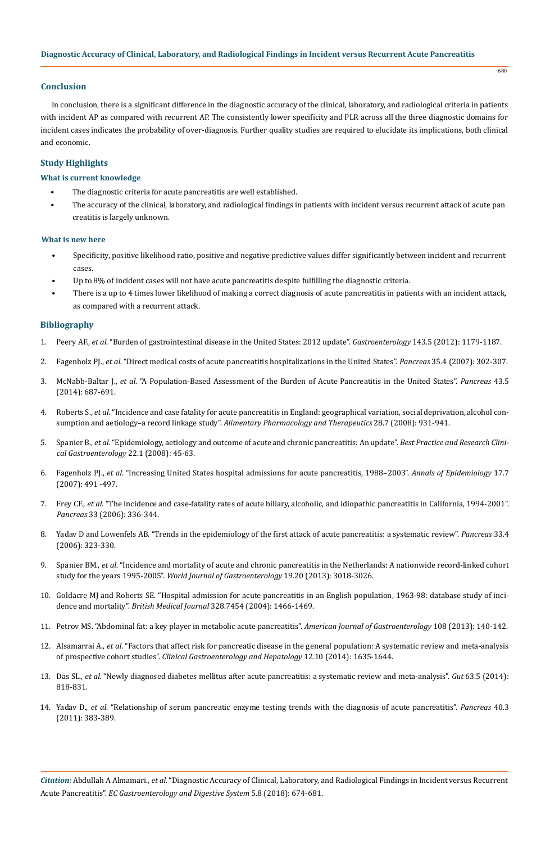# **Conclusion**

In conclusion, there is a significant difference in the diagnostic accuracy of the clinical, laboratory, and radiological criteria in patients with incident AP as compared with recurrent AP. The consistently lower specificity and PLR across all the three diagnostic domains for incident cases indicates the probability of over-diagnosis. Further quality studies are required to elucidate its implications, both clinical and economic.

680

#### **Study Highlights**

#### **What is current knowledge**

- The diagnostic criteria for acute pancreatitis are well established.
- The accuracy of the clinical, laboratory, and radiological findings in patients with incident versus recurrent attack of acute pan creatitis is largely unknown.

# **What is new here**

- Specificity, positive likelihood ratio, positive and negative predictive values differ significantly between incident and recurrent cases.
- Up to 8% of incident cases will not have acute pancreatitis despite fulfilling the diagnostic criteria.
- There is a up to 4 times lower likelihood of making a correct diagnosis of acute pancreatitis in patients with an incident attack, as compared with a recurrent attack.

#### **Bibliography**

- 1. Peery AF., *et al*[. "Burden of gastrointestinal disease in the United States: 2012 update".](https://www.ncbi.nlm.nih.gov/pubmed/22885331) *Gastroenterology* 143.5 (2012): 1179-1187.
- 2. Fagenholz PJ., *et al*[. "Direct medical costs of acute pancreatitis hospitalizations in the United States".](https://www.ncbi.nlm.nih.gov/pubmed/18090234) *Pancreas* 35.4 (2007): 302-307.
- 3. McNabb-Baltar J., *et al*[. "A Population-Based Assessment of the Burden of Acute Pancreatitis in the United States".](https://www.ncbi.nlm.nih.gov/pubmed/24694835) *Pancreas* 43.5 [\(2014\): 687-691.](https://www.ncbi.nlm.nih.gov/pubmed/24694835)
- 4. Roberts S., *et al*[. "Incidence and case fatality for acute pancreatitis in England: geographical variation, social deprivation, alcohol con](https://www.ncbi.nlm.nih.gov/pubmed/18647283)sumption and aetiology–a record linkage study". *[Alimentary Pharmacology and Therapeutics](https://www.ncbi.nlm.nih.gov/pubmed/18647283)* 28.7 (2008): 931-941.
- 5. Spanier B., *et al*[. "Epidemiology, aetiology and outcome of acute and chronic pancreatitis: An update".](https://www.ncbi.nlm.nih.gov/pubmed/18206812) *Best Practice and Research Clini[cal Gastroenterology](https://www.ncbi.nlm.nih.gov/pubmed/18206812)* 22.1 (2008): 45-63.
- 6. Fagenholz PJ., *et al*[. "Increasing United States hospital admissions for acute pancreatitis, 1988–2003".](https://www.ncbi.nlm.nih.gov/pubmed/17448682) *Annals of Epidemiology* 17.7 [\(2007\): 491 -497.](https://www.ncbi.nlm.nih.gov/pubmed/17448682)
- 7. Frey CF., *et al*[. "The incidence and case-fatality rates of acute biliary, alcoholic, and idiopathic pancreatitis in California, 1994-2001".](https://www.ncbi.nlm.nih.gov/pubmed/17079936)  *Pancreas* [33 \(2006\): 336-344.](https://www.ncbi.nlm.nih.gov/pubmed/17079936)
- 8. [Yadav D and Lowenfels AB. "Trends in the epidemiology of the first attack of acute pancreatitis: a systematic review".](https://www.ncbi.nlm.nih.gov/pubmed/17079934) *Pancreas* 33.4 [\(2006\): 323-330.](https://www.ncbi.nlm.nih.gov/pubmed/17079934)
- 9. Spanier BM., *et al*[. "Incidence and mortality of acute and chronic pancreatitis in the Netherlands: A nationwide record-linked cohort](https://www.ncbi.nlm.nih.gov/pubmed/23716981)  study for the years 1995-2005". *[World Journal of Gastroenterology](https://www.ncbi.nlm.nih.gov/pubmed/23716981)* 19.20 (2013): 3018-3026.
- 10. [Goldacre MJ and Roberts SE. "Hospital admission for acute pancreatitis in an English population, 1963-98: database study of inci](https://www.ncbi.nlm.nih.gov/pubmed/15205290)dence and mortality". *British Medical Journal* [328.7454 \(2004\): 1466-1469.](https://www.ncbi.nlm.nih.gov/pubmed/15205290)
- 11. [Petrov MS. "Abdominal fat: a key player in metabolic acute pancreatitis".](https://www.nature.com/articles/ajg2012384.pdf?origin=ppub) *American Journal of Gastroenterology* 108 (2013): 140-142.
- 12. Alsamarrai A., *et al*[. "Factors that affect risk for pancreatic disease in the general population: A systematic review and meta-analysis](https://www.ncbi.nlm.nih.gov/pubmed/24509242)  of prospective cohort studies". *[Clinical Gastroenterology and Hepatology](https://www.ncbi.nlm.nih.gov/pubmed/24509242)* 12.10 (2014): 1635-1644.
- 13. Das SL., *et al*[. "Newly diagnosed diabetes mellitus after acute pancreatitis: a systematic review and meta-analysis".](https://www.ncbi.nlm.nih.gov/pubmed/23929695) *Gut* 63.5 (2014): [818-831.](https://www.ncbi.nlm.nih.gov/pubmed/23929695)
- 14. Yadav D., *et al*[. "Relationship of serum pancreatic enzyme testing trends with the diagnosis of acute pancreatitis".](https://www.ncbi.nlm.nih.gov/pubmed/21283039) *Pancreas* 40.3 [\(2011\): 383-389.](https://www.ncbi.nlm.nih.gov/pubmed/21283039)